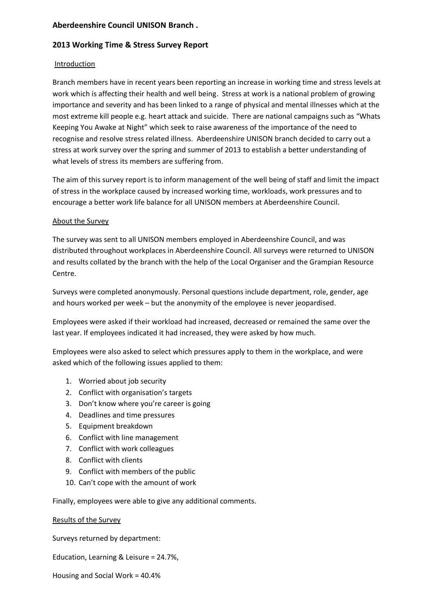## **Aberdeenshire Council UNISON Branch .**

## **2013 Working Time & Stress Survey Report**

### Introduction

Branch members have in recent years been reporting an increase in working time and stress levels at work which is affecting their health and well being. Stress at work is a national problem of growing importance and severity and has been linked to a range of physical and mental illnesses which at the most extreme kill people e.g. heart attack and suicide. There are national campaigns such as "Whats Keeping You Awake at Night" which seek to raise awareness of the importance of the need to recognise and resolve stress related illness. Aberdeenshire UNISON branch decided to carry out a stress at work survey over the spring and summer of 2013 to establish a better understanding of what levels of stress its members are suffering from.

The aim of this survey report is to inform management of the well being of staff and limit the impact of stress in the workplace caused by increased working time, workloads, work pressures and to encourage a better work life balance for all UNISON members at Aberdeenshire Council.

### About the Survey

The survey was sent to all UNISON members employed in Aberdeenshire Council, and was distributed throughout workplaces in Aberdeenshire Council. All surveys were returned to UNISON and results collated by the branch with the help of the Local Organiser and the Grampian Resource Centre.

Surveys were completed anonymously. Personal questions include department, role, gender, age and hours worked per week – but the anonymity of the employee is never jeopardised.

Employees were asked if their workload had increased, decreased or remained the same over the last year. If employees indicated it had increased, they were asked by how much.

Employees were also asked to select which pressures apply to them in the workplace, and were asked which of the following issues applied to them:

- 1. Worried about job security
- 2. Conflict with organisation's targets
- 3. Don't know where you're career is going
- 4. Deadlines and time pressures
- 5. Equipment breakdown
- 6. Conflict with line management
- 7. Conflict with work colleagues
- 8. Conflict with clients
- 9. Conflict with members of the public
- 10. Can't cope with the amount of work

Finally, employees were able to give any additional comments.

#### Results of the Survey

Surveys returned by department:

Education, Learning & Leisure = 24.7%,

Housing and Social Work = 40.4%